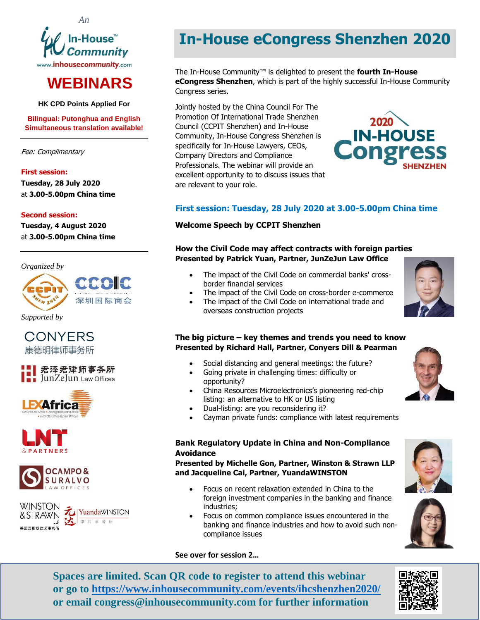

# **WEBINARS**

**HK CPD Points Applied For**

**Bilingual: Putonghua and English Simultaneous translation available!**

Fee: Complimentary

#### **First session:**

**Tuesday, 28 July 2020** at **3.00-5.00pm China time**

#### **Second session:**

**Tuesday, 4 August 2020** at **3.00-5.00pm China time**







*Supported by*

**CONYERS** 康德明律师事务所

#### ‼‼ 君泽君津师事务所 JunZeJun Law Offices









# **In-House eCongress Shenzhen 2020**

The In-House Community™ is delighted to present the **fourth In-House eCongress Shenzhen**, which is part of the highly successful In-House Community Congress series.

Jointly hosted by the China Council For The Promotion Of International Trade Shenzhen Council (CCPIT Shenzhen) and In-House Community, In-House Congress Shenzhen is specifically for In-House Lawyers, CEOs, Company Directors and Compliance Professionals. The webinar will provide an excellent opportunity to to discuss issues that are relevant to your role.



## **First session: Tuesday, 28 July 2020 at 3.00-5.00pm China time**

#### **Welcome Speech by CCPIT Shenzhen**

#### **How the Civil Code may affect contracts with foreign parties Presented by Patrick Yuan, Partner, JunZeJun Law Office**

- The impact of the Civil Code on commercial banks' crossborder financial services
- The impact of the Civil Code on cross-border e-commerce
- The impact of the Civil Code on international trade and overseas construction projects



- Social distancing and general meetings: the future?
- Going private in challenging times: difficulty or opportunity?
	- China Resources Microelectronics's pioneering red-chip listing: an alternative to HK or US listing
- Dual-listing: are you reconsidering it?
- Cayman private funds: compliance with latest requirements

### **Bank Regulatory Update in China and Non-Compliance Avoidance**

**Presented by Michelle Gon, Partner, Winston & Strawn LLP and Jacqueline Cai, Partner, YuandaWINSTON**

- Focus on recent relaxation extended in China to the foreign investment companies in the banking and finance industries;
- Focus on common compliance issues encountered in the banking and finance industries and how to avoid such noncompliance issues





**See over for session 2…**

**Spaces are limited. Scan QR code to register to attend this webinar or go to<https://www.inhousecommunity.com/events/ihcshenzhen2020/> or email congress@inhousecommunity.com for further information**